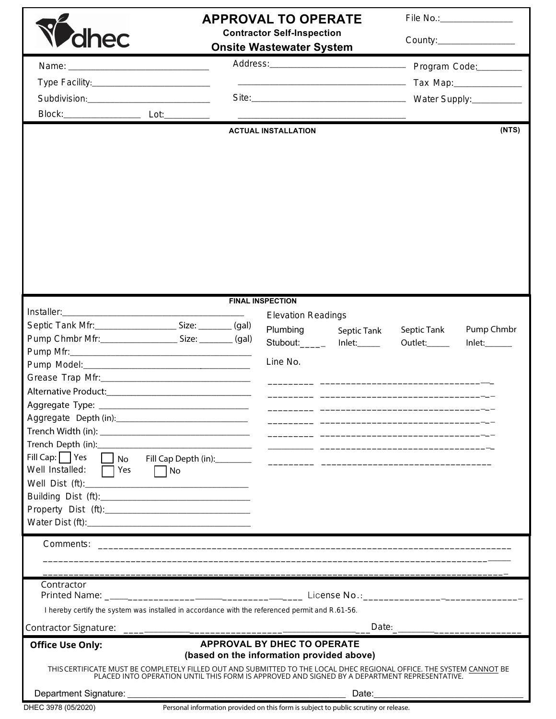| dhec                                                                                                                                                                                                                 |                                                                                      | <b>APPROVAL TO OPERATE</b><br><b>Contractor Self-Inspection</b><br><b>Onsite Wastewater System</b>                                                                                                                                                                                                                                                                                                                     |             |             | File No.: _________________<br>County:_________________ |  |
|----------------------------------------------------------------------------------------------------------------------------------------------------------------------------------------------------------------------|--------------------------------------------------------------------------------------|------------------------------------------------------------------------------------------------------------------------------------------------------------------------------------------------------------------------------------------------------------------------------------------------------------------------------------------------------------------------------------------------------------------------|-------------|-------------|---------------------------------------------------------|--|
| Subdivision:________________________________                                                                                                                                                                         |                                                                                      |                                                                                                                                                                                                                                                                                                                                                                                                                        |             |             |                                                         |  |
|                                                                                                                                                                                                                      |                                                                                      | <b>ACTUAL INSTALLATION</b>                                                                                                                                                                                                                                                                                                                                                                                             |             |             | (NTS)                                                   |  |
|                                                                                                                                                                                                                      |                                                                                      | <b>FINAL INSPECTION</b>                                                                                                                                                                                                                                                                                                                                                                                                |             |             |                                                         |  |
|                                                                                                                                                                                                                      |                                                                                      | <b>Elevation Readings</b>                                                                                                                                                                                                                                                                                                                                                                                              |             |             |                                                         |  |
| Septic Tank Mfr: ______________________________ Size: _________ (gal)                                                                                                                                                |                                                                                      | Plumbing                                                                                                                                                                                                                                                                                                                                                                                                               | Septic Tank | Septic Tank | Pump Chmbr                                              |  |
| Pump Chmbr Mfr: _______________________________ Size: __________ (gal)                                                                                                                                               |                                                                                      | Stubout:_______ Inlet:_____                                                                                                                                                                                                                                                                                                                                                                                            |             | Outlet:     | Inlet:                                                  |  |
|                                                                                                                                                                                                                      |                                                                                      |                                                                                                                                                                                                                                                                                                                                                                                                                        |             |             |                                                         |  |
|                                                                                                                                                                                                                      |                                                                                      | Line No.                                                                                                                                                                                                                                                                                                                                                                                                               |             |             |                                                         |  |
|                                                                                                                                                                                                                      |                                                                                      |                                                                                                                                                                                                                                                                                                                                                                                                                        |             |             |                                                         |  |
|                                                                                                                                                                                                                      |                                                                                      |                                                                                                                                                                                                                                                                                                                                                                                                                        |             |             |                                                         |  |
|                                                                                                                                                                                                                      |                                                                                      |                                                                                                                                                                                                                                                                                                                                                                                                                        |             |             |                                                         |  |
|                                                                                                                                                                                                                      |                                                                                      | $\begin{tabular}{ccccc} \multicolumn{2}{c }{\textbf{1} & \textbf{2} & \textbf{3} & \textbf{4} & \textbf{5} & \textbf{5} & \textbf{6} & \textbf{6} & \textbf{7} & \textbf{8} & \textbf{8} & \textbf{9} & \textbf{10} & \textbf{10} & \textbf{10} & \textbf{10} & \textbf{10} & \textbf{10} & \textbf{10} & \textbf{10} & \textbf{10} & \textbf{10} & \textbf{10} & \textbf{10} & \textbf{10} & \textbf{10} & \textbf{1$ |             |             |                                                         |  |
|                                                                                                                                                                                                                      |                                                                                      |                                                                                                                                                                                                                                                                                                                                                                                                                        |             |             |                                                         |  |
| Fill Cap: $\Box$ Yes                                                                                                                                                                                                 |                                                                                      |                                                                                                                                                                                                                                                                                                                                                                                                                        |             |             |                                                         |  |
| Well Installed:<br>$\Box$ Yes $\Box$ No                                                                                                                                                                              |                                                                                      |                                                                                                                                                                                                                                                                                                                                                                                                                        |             |             |                                                         |  |
|                                                                                                                                                                                                                      |                                                                                      |                                                                                                                                                                                                                                                                                                                                                                                                                        |             |             |                                                         |  |
|                                                                                                                                                                                                                      |                                                                                      |                                                                                                                                                                                                                                                                                                                                                                                                                        |             |             |                                                         |  |
|                                                                                                                                                                                                                      |                                                                                      |                                                                                                                                                                                                                                                                                                                                                                                                                        |             |             |                                                         |  |
|                                                                                                                                                                                                                      |                                                                                      |                                                                                                                                                                                                                                                                                                                                                                                                                        |             |             |                                                         |  |
|                                                                                                                                                                                                                      |                                                                                      |                                                                                                                                                                                                                                                                                                                                                                                                                        |             |             |                                                         |  |
|                                                                                                                                                                                                                      |                                                                                      |                                                                                                                                                                                                                                                                                                                                                                                                                        |             |             |                                                         |  |
|                                                                                                                                                                                                                      |                                                                                      |                                                                                                                                                                                                                                                                                                                                                                                                                        |             |             |                                                         |  |
| Contractor                                                                                                                                                                                                           |                                                                                      |                                                                                                                                                                                                                                                                                                                                                                                                                        |             |             |                                                         |  |
|                                                                                                                                                                                                                      |                                                                                      |                                                                                                                                                                                                                                                                                                                                                                                                                        |             |             |                                                         |  |
| I hereby certify the system was installed in accordance with the referenced permit and R.61-56.                                                                                                                      |                                                                                      |                                                                                                                                                                                                                                                                                                                                                                                                                        |             |             |                                                         |  |
| Contractor Signature: <u>____</u>                                                                                                                                                                                    |                                                                                      |                                                                                                                                                                                                                                                                                                                                                                                                                        | Date:       |             |                                                         |  |
| <b>Office Use Only:</b>                                                                                                                                                                                              | <b>APPROVAL BY DHEC TO OPERATE</b><br>(based on the information provided above)      |                                                                                                                                                                                                                                                                                                                                                                                                                        |             |             |                                                         |  |
| THIS CERTIFICATE MUST BE COMPLETELY FILLED OUT AND SUBMITTED TO THE LOCAL DHEC REGIONAL OFFICE. THE SYSTEM CANNOT BE<br>PLACED INTO OPERATION UNTIL THIS FORM IS APPROVED AND SIGNED BY A DEPARTMENT REPRESENTATIVE. |                                                                                      |                                                                                                                                                                                                                                                                                                                                                                                                                        |             |             |                                                         |  |
| Department Signature:                                                                                                                                                                                                |                                                                                      |                                                                                                                                                                                                                                                                                                                                                                                                                        | Date:       |             |                                                         |  |
| DHEC 3978 (05/2020)                                                                                                                                                                                                  | Personal information provided on this form is subject to public scrutiny or release. |                                                                                                                                                                                                                                                                                                                                                                                                                        |             |             |                                                         |  |